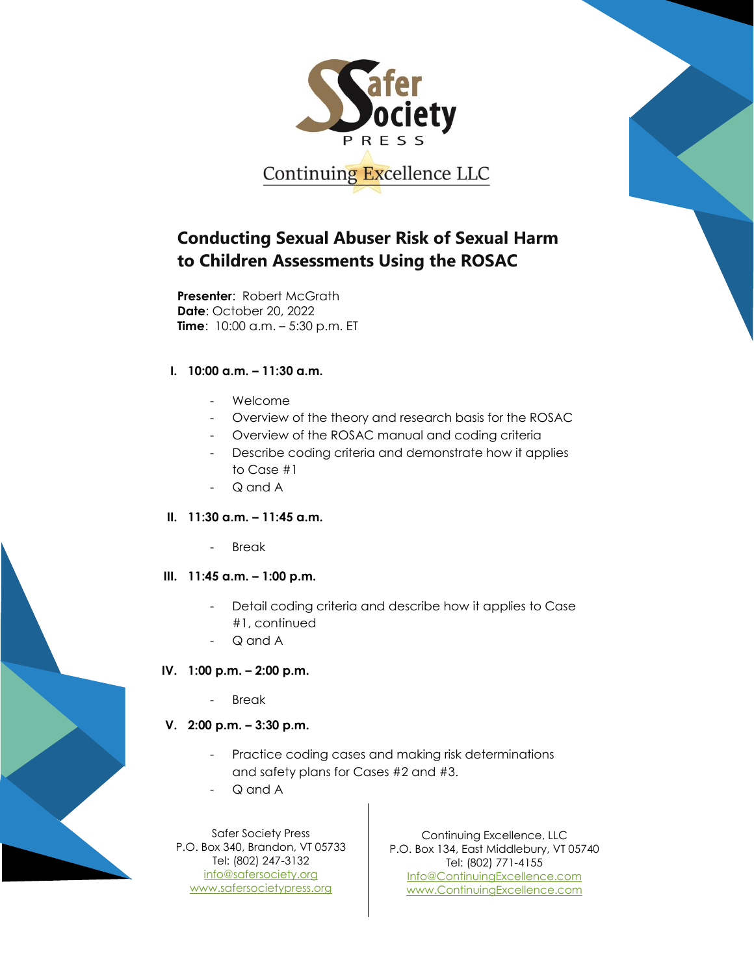

# **Conducting Sexual Abuser Risk of Sexual Harm to Children Assessments Using the ROSAC**

**Presenter**: Robert McGrath **Date**: October 20, 2022 **Time**: 10:00 a.m. – 5:30 p.m. ET

#### **I. 10:00 a.m. – 11:30 a.m.**

- Welcome
- Overview of the theory and research basis for the ROSAC
- Overview of the ROSAC manual and coding criteria
- Describe coding criteria and demonstrate how it applies to Case #1
- Q and A

### **II. 11:30 a.m. – 11:45 a.m.**

**Break** 

### **III. 11:45 a.m. – 1:00 p.m.**

- Detail coding criteria and describe how it applies to Case #1, continued
- Q and A

### **IV. 1:00 p.m. – 2:00 p.m.**

**Break** 

### **V. 2:00 p.m. – 3:30 p.m.**

- Practice coding cases and making risk determinations and safety plans for Cases #2 and #3.
- Q and A

Safer Society Press P.O. Box 340, Brandon, VT 05733 Tel: (802) 247-3132 [info@safersociety.org](about:blank) [www.safersocietypress.org](about:blank)

Continuing Excellence, LLC P.O. Box 134, East Middlebury, VT 05740 Tel: (802) 771-4155 [Info@ContinuingExcellence.com](about:blank) [www.ContinuingExcellence.com](about:blank)